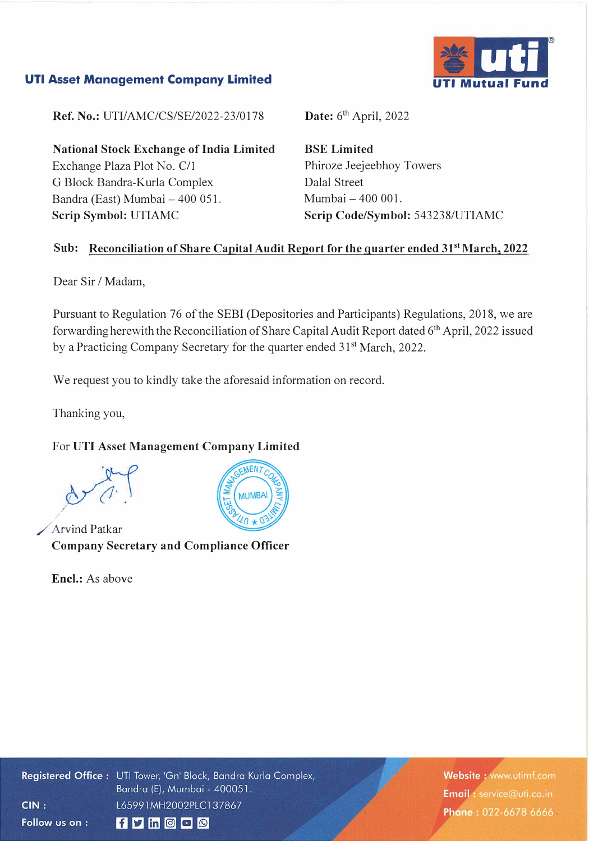#### **UTI Asset Management Company Limited**



**Ref. No.:** UTI/AMC/CS/SE/2022-23/0178

**National Stock Exchange of India Limited**  Exchange Plaza Plot No. C/1 G Block Bandra-Kurla Complex Bandra (East) Mumbai - 400 051. **Scrip Symbol:** UTIAMC

Date: 6<sup>th</sup> April, 2022

**BSE Limited**  Phiroze Jeejeebhoy Towers Dalal Street Mumbai - 400 001. **Scrip Code/Symbol:** 543238/UTIAMC

#### **Sub: Reconciliation of Share Capital Audit Report for the quarter ended 3p<sup>t</sup>March, 2022**

Dear Sir / Madam,

Pursuant to Regulation 76 of the SEBI (Depositories and Participants) Regulations, 2018, we are forwarding herewith the Reconciliation of Share Capital Audit Report dated 6<sup>th</sup> April, 2022 issued by a Practicing Company Secretary for the quarter ended 31<sup>st</sup> March, 2022.

We request you to kindly take the aforesaid information on record.

Thanking you,

### For **UTI Asset Management Company Limited**

*Arvind Patkar* **Company Secretary and Compliance Officer** 

Encl.: As above



Registered Office: UTI Tower, 'Gn' Block, Bandra Kurla Complex, Bandra (E), Mumbai - 400051.  $CIN:$ L65991MH2002PLC137867 Follow us on :  $f$  y in  $O$   $O$ 

Website: www.utimf.com Email: service@uti.co.in Phone: 022-6678 6666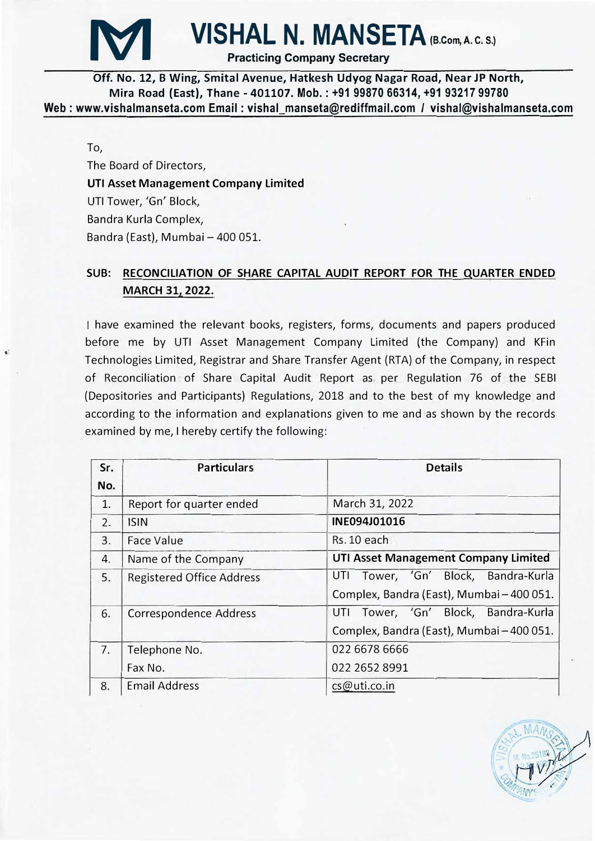

# **VISHAL N. MANSETA** (B.Com, A. C. S.)

Practicing Company Secretary

**Off. No. 12, B Wing, Smital Avenue, Hatkesh Udyog Nagar Road, Near JP North, Mira Road (East), Thane - 401107. Mob.: +91 99870 66314, +91 93217 99780 Web: www.vishalmanseta.com Email: vishal manseta@rediffmail.com** *I* **vishal@vishalmanseta.com** 

To,

The Board of Directors, **UTI Asset Management Company Limited**  UTI Tower, 'Gn' Block, Sandra Kurla Complex, Bandra (East), Mumbai - 400 051.

## **SUB: RECONCILIATION OF SHARE CAPITAL AUDIT REPORT FOR THE QUARTER ENDED MARCH 31, 2022.**

have examined the relevant books, registers, forms, documents and papers produced before me by UTI Asset Management Company Limited (the Company) and KFin Technologies Limited, Registrar and Share Transfer Agent (RTA) of the Company, in respect of Reconciliation of Share Capital Audit Report as per Regulation 76 of the SEBI (Depositories and Participants) Regulations, 2018 and to the best of my knowledge and according to the information and explanations given to me and as shown by the records examined by me, I hereby certify the following:

| Sr.<br>No. | <b>Particulars</b>               | <b>Details</b>                                                                      |
|------------|----------------------------------|-------------------------------------------------------------------------------------|
| 1.         | Report for quarter ended         | March 31, 2022                                                                      |
| 2.         | <b>ISIN</b>                      | INE094J01016                                                                        |
| 3.         | <b>Face Value</b>                | Rs. 10 each                                                                         |
| 4.         | Name of the Company              | <b>UTI Asset Management Company Limited</b>                                         |
| 5.         | <b>Registered Office Address</b> | Tower, 'Gn' Block, Bandra-Kurla<br>UTI<br>Complex, Bandra (East), Mumbai - 400 051. |
| 6.         | Correspondence Address           | UTI Tower, 'Gn' Block, Bandra-Kurla<br>Complex, Bandra (East), Mumbai - 400 051.    |
| 7.         | Telephone No.<br>Fax No.         | 022 6678 6666<br>022 2652 8991                                                      |
| 8.         | <b>Email Address</b>             | cs@uti.co.in                                                                        |

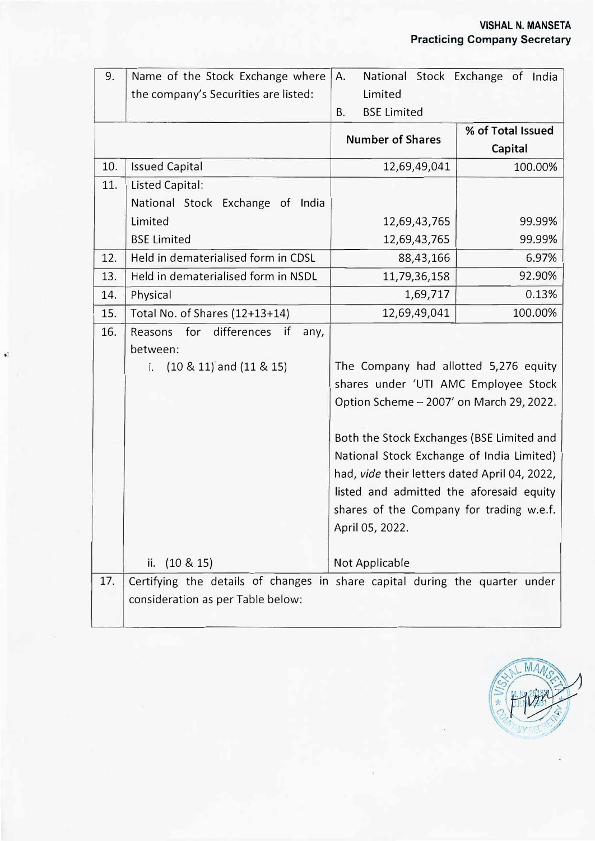| 9.  | Name of the Stock Exchange where                                            | Α.                                            | National Stock Exchange of India |
|-----|-----------------------------------------------------------------------------|-----------------------------------------------|----------------------------------|
|     | the company's Securities are listed:                                        | Limited                                       |                                  |
|     |                                                                             | <b>BSE Limited</b><br>В.                      |                                  |
|     |                                                                             | <b>Number of Shares</b>                       | % of Total Issued                |
|     |                                                                             |                                               | Capital                          |
| 10. | <b>Issued Capital</b>                                                       | 12,69,49,041                                  | 100.00%                          |
| 11. | Listed Capital:                                                             |                                               |                                  |
|     | National Stock Exchange of India                                            |                                               |                                  |
|     | Limited                                                                     | 12,69,43,765                                  | 99.99%                           |
|     | <b>BSE Limited</b>                                                          | 12,69,43,765                                  | 99.99%                           |
| 12. | Held in dematerialised form in CDSL                                         | 88,43,166                                     | 6.97%                            |
| 13. | Held in dematerialised form in NSDL                                         | 11,79,36,158                                  | 92.90%                           |
| 14. | Physical                                                                    | 1,69,717                                      | 0.13%                            |
| 15. | Total No. of Shares (12+13+14)                                              | 12,69,49,041                                  | 100.00%                          |
| 16. | for differences<br>Reasons<br>if<br>any,                                    |                                               |                                  |
|     | between:                                                                    |                                               |                                  |
|     | $(10 \& 11)$ and $(11 \& 15)$<br>i.                                         | The Company had allotted 5,276 equity         |                                  |
|     |                                                                             | shares under 'UTI AMC Employee Stock          |                                  |
|     |                                                                             | Option Scheme - 2007' on March 29, 2022.      |                                  |
|     |                                                                             |                                               |                                  |
|     |                                                                             | Both the Stock Exchanges (BSE Limited and     |                                  |
|     |                                                                             | National Stock Exchange of India Limited)     |                                  |
|     |                                                                             | had, vide their letters dated April 04, 2022, |                                  |
|     |                                                                             | listed and admitted the aforesaid equity      |                                  |
|     |                                                                             | shares of the Company for trading w.e.f.      |                                  |
|     |                                                                             | April 05, 2022.                               |                                  |
|     |                                                                             |                                               |                                  |
|     | ii. $(10 \& 15)$                                                            | Not Applicable                                |                                  |
| 17. | Certifying the details of changes in share capital during the quarter under |                                               |                                  |
|     | consideration as per Table below:                                           |                                               |                                  |
|     |                                                                             |                                               |                                  |

 $\bullet$ 

L

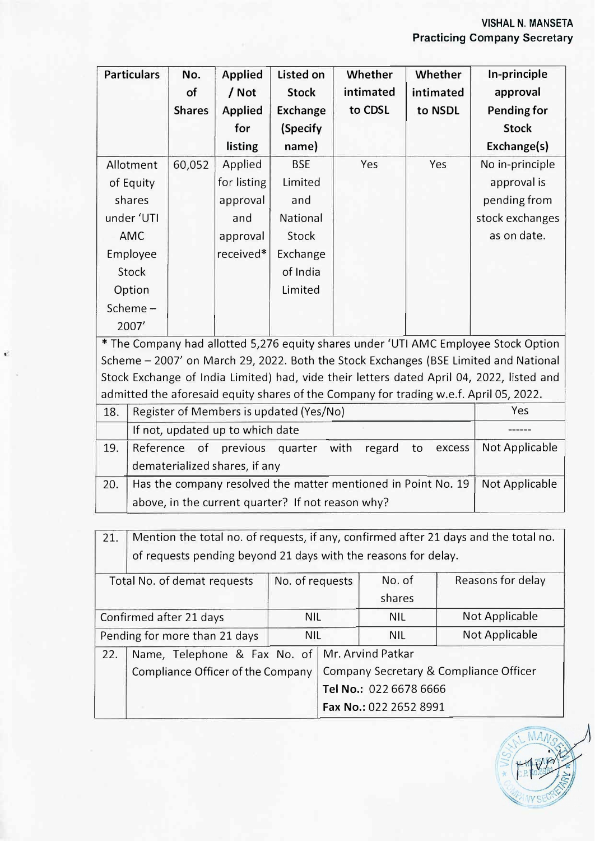| <b>Particulars</b> | No.           | <b>Applied</b> | <b>Listed on</b> | Whether   | Whether   | In-principle       |
|--------------------|---------------|----------------|------------------|-----------|-----------|--------------------|
|                    | of            | / Not          | <b>Stock</b>     | intimated | intimated | approval           |
|                    | <b>Shares</b> | <b>Applied</b> | <b>Exchange</b>  | to CDSL   | to NSDL   | <b>Pending for</b> |
|                    |               | for            | (Specify         |           |           | <b>Stock</b>       |
|                    |               | listing        | name)            |           |           | Exchange(s)        |
| Allotment          | 60,052        | Applied        | <b>BSE</b>       | Yes       | Yes       | No in-principle    |
| of Equity          |               | for listing    | Limited          |           |           | approval is        |
| shares             |               | approval       | and              |           |           | pending from       |
| under 'UTI         |               | and            | National         |           |           | stock exchanges    |
| <b>AMC</b>         |               | approval       | Stock            |           |           | as on date.        |
| Employee           |               | received*      | Exchange         |           |           |                    |
| Stock              |               |                | of India         |           |           |                    |
| Option             |               |                | Limited          |           |           |                    |
| Scheme-            |               |                |                  |           |           |                    |
| 2007'              |               |                |                  |           |           |                    |

\* The Company had allotted 5,276 equity shares under 'UTI AMC Employee Stock Option Scheme - 2007' on March 29, 2022. Both the Stock Exchanges (BSE Limited and National Stock Exchange of India Limited) had, vide their letters dated April 04, 2022, listed and admitted the aforesaid equity shares of the Company for trading w.e.f. April 05, 2022.

| 18. | Register of Members is updated (Yes/No)                            | Yes            |  |
|-----|--------------------------------------------------------------------|----------------|--|
|     | If not, updated up to which date                                   |                |  |
| 19. | Reference of previous quarter with regard to excess Not Applicable |                |  |
|     | dematerialized shares, if any                                      |                |  |
| 20. | Has the company resolved the matter mentioned in Point No. 19      | Not Applicable |  |
|     | above, in the current quarter? If not reason why?                  |                |  |

| 21.                           | Mention the total no. of requests, if any, confirmed after 21 days and the total no. |                   |                                        |            |                   |
|-------------------------------|--------------------------------------------------------------------------------------|-------------------|----------------------------------------|------------|-------------------|
|                               | of requests pending beyond 21 days with the reasons for delay.                       |                   |                                        |            |                   |
| Total No. of demat requests   |                                                                                      | No. of requests   |                                        | No. of     | Reasons for delay |
|                               |                                                                                      |                   |                                        | shares     |                   |
|                               | Confirmed after 21 days                                                              | <b>NIL</b>        |                                        | <b>NIL</b> | Not Applicable    |
| Pending for more than 21 days |                                                                                      | <b>NIL</b>        |                                        | <b>NIL</b> | Not Applicable    |
| 22.                           | Name, Telephone & Fax No. of                                                         | Mr. Arvind Patkar |                                        |            |                   |
|                               | Compliance Officer of the Company                                                    |                   | Company Secretary & Compliance Officer |            |                   |
|                               |                                                                                      |                   | Tel No.: 022 6678 6666                 |            |                   |
|                               |                                                                                      |                   | Fax No.: 022 2652 8991                 |            |                   |